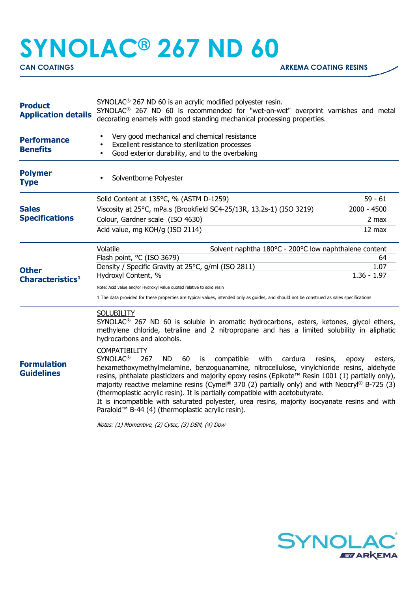## **SYNOLAC® 267 ND 60**

| <b>Product</b><br><b>Application details</b> | SYNOLAC <sup>®</sup> 267 ND 60 is an acrylic modified polyester resin.<br>SYNOLAC <sup>®</sup> 267 ND 60 is recommended for "wet-on-wet" overprint varnishes and metal<br>decorating enamels with good standing mechanical processing properties.                                                                                                                                                                                                                                                                                                                                                                                                                                                                                                                                                                                                                                                                                                                                                                      |                       |  |
|----------------------------------------------|------------------------------------------------------------------------------------------------------------------------------------------------------------------------------------------------------------------------------------------------------------------------------------------------------------------------------------------------------------------------------------------------------------------------------------------------------------------------------------------------------------------------------------------------------------------------------------------------------------------------------------------------------------------------------------------------------------------------------------------------------------------------------------------------------------------------------------------------------------------------------------------------------------------------------------------------------------------------------------------------------------------------|-----------------------|--|
| <b>Performance</b><br><b>Benefits</b>        | Very good mechanical and chemical resistance<br>Excellent resistance to sterilization processes<br>Good exterior durability, and to the overbaking                                                                                                                                                                                                                                                                                                                                                                                                                                                                                                                                                                                                                                                                                                                                                                                                                                                                     |                       |  |
| <b>Polymer</b><br><b>Type</b>                | Solventborne Polyester                                                                                                                                                                                                                                                                                                                                                                                                                                                                                                                                                                                                                                                                                                                                                                                                                                                                                                                                                                                                 |                       |  |
| <b>Sales</b><br><b>Specifications</b>        | Solid Content at 135°C, % (ASTM D-1259)                                                                                                                                                                                                                                                                                                                                                                                                                                                                                                                                                                                                                                                                                                                                                                                                                                                                                                                                                                                | $59 - 61$             |  |
|                                              | Viscosity at 25°C, mPa.s (Brookfield SC4-25/13R, 13.2s-1) (ISO 3219)                                                                                                                                                                                                                                                                                                                                                                                                                                                                                                                                                                                                                                                                                                                                                                                                                                                                                                                                                   | $2000 - 4500$         |  |
|                                              | Colour, Gardner scale (ISO 4630)                                                                                                                                                                                                                                                                                                                                                                                                                                                                                                                                                                                                                                                                                                                                                                                                                                                                                                                                                                                       | $2$ max               |  |
|                                              | Acid value, mg KOH/g (ISO 2114)                                                                                                                                                                                                                                                                                                                                                                                                                                                                                                                                                                                                                                                                                                                                                                                                                                                                                                                                                                                        | 12 max                |  |
| <b>Other</b><br>Characteristics <sup>1</sup> | Solvent naphtha 180°C - 200°C low naphthalene content<br>Volatile                                                                                                                                                                                                                                                                                                                                                                                                                                                                                                                                                                                                                                                                                                                                                                                                                                                                                                                                                      |                       |  |
|                                              | Flash point, °C (ISO 3679)                                                                                                                                                                                                                                                                                                                                                                                                                                                                                                                                                                                                                                                                                                                                                                                                                                                                                                                                                                                             | 64                    |  |
|                                              | Density / Specific Gravity at 25°C, g/ml (ISO 2811)<br>Hydroxyl Content, %                                                                                                                                                                                                                                                                                                                                                                                                                                                                                                                                                                                                                                                                                                                                                                                                                                                                                                                                             | 1.07<br>$1.36 - 1.97$ |  |
|                                              |                                                                                                                                                                                                                                                                                                                                                                                                                                                                                                                                                                                                                                                                                                                                                                                                                                                                                                                                                                                                                        |                       |  |
|                                              | Note: Acid value and/or Hydroxyl value quoted relative to solid resin<br>1 The data provided for these properties are typical values, intended only as guides, and should not be construed as sales specifications                                                                                                                                                                                                                                                                                                                                                                                                                                                                                                                                                                                                                                                                                                                                                                                                     |                       |  |
| <b>Formulation</b><br><b>Guidelines</b>      | <b>SOLUBILITY</b><br>SYNOLAC <sup>®</sup> 267 ND 60 is soluble in aromatic hydrocarbons, esters, ketones, glycol ethers,<br>methylene chloride, tetraline and 2 nitropropane and has a limited solubility in aliphatic<br>hydrocarbons and alcohols.<br><b>COMPATIBILITY</b><br><b>SYNOLAC<sup>®</sup></b><br><b>ND</b><br>267<br>60<br>compatible<br>with<br>cardura<br>is<br>resins,<br>epoxy<br>esters,<br>hexamethoxymethylmelamine, benzoguanamine, nitrocellulose, vinylchloride resins, aldehyde<br>resins, phthalate plasticizers and majority epoxy resins (Epikote™ Resin 1001 (1) partially only),<br>majority reactive melamine resins (Cymel® 370 (2) partially only) and with Neocryl® B-725 (3)<br>(thermoplastic acrylic resin). It is partially compatible with acetobutyrate.<br>It is incompatible with saturated polyester, urea resins, majority isocyanate resins and with<br>Paraloid <sup>™</sup> B-44 (4) (thermoplastic acrylic resin).<br>Notes: (1) Momentive, (2) Cytec, (3) DSM, (4) Dow |                       |  |